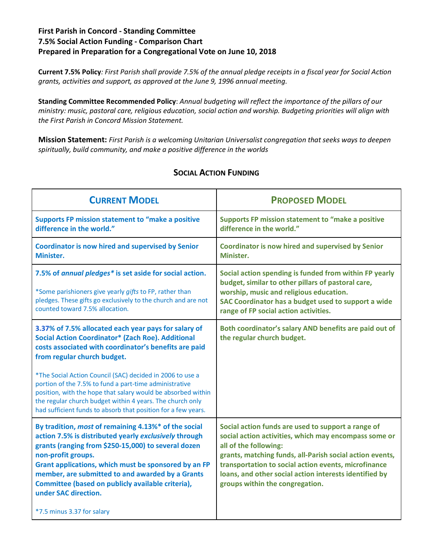## **First Parish in Concord - Standing Committee 7.5% Social Action Funding - Comparison Chart Prepared in Preparation for a Congregational Vote on June 10, 2018**

**Current 7.5% Policy***: First Parish shall provide 7.5% of the annual pledge receipts in a fiscal year for Social Action grants, activities and support, as approved at the June 9, 1996 annual meeting.*

**Standing Committee Recommended Policy**: *Annual budgeting will reflect the importance of the pillars of our ministry: music, pastoral care, religious education, social action and worship. Budgeting priorities will align with the First Parish in Concord Mission Statement.*

**Mission Statement:** *First Parish is a welcoming Unitarian Universalist congregation that seeks ways to deepen spiritually, build community, and make a positive difference in the worlds*

| <b>CURRENT MODEL</b>                                                                                                                                                                                                                                                                                                                                                                                                                                                                                                          | <b>PROPOSED MODEL</b>                                                                                                                                                                                                                                                                                                                                 |
|-------------------------------------------------------------------------------------------------------------------------------------------------------------------------------------------------------------------------------------------------------------------------------------------------------------------------------------------------------------------------------------------------------------------------------------------------------------------------------------------------------------------------------|-------------------------------------------------------------------------------------------------------------------------------------------------------------------------------------------------------------------------------------------------------------------------------------------------------------------------------------------------------|
| <b>Supports FP mission statement to "make a positive</b><br>difference in the world."                                                                                                                                                                                                                                                                                                                                                                                                                                         | Supports FP mission statement to "make a positive<br>difference in the world."                                                                                                                                                                                                                                                                        |
| <b>Coordinator is now hired and supervised by Senior</b><br>Minister.                                                                                                                                                                                                                                                                                                                                                                                                                                                         | <b>Coordinator is now hired and supervised by Senior</b><br>Minister.                                                                                                                                                                                                                                                                                 |
| 7.5% of annual pledges* is set aside for social action.<br>*Some parishioners give yearly gifts to FP, rather than<br>pledges. These gifts go exclusively to the church and are not<br>counted toward 7.5% allocation.                                                                                                                                                                                                                                                                                                        | Social action spending is funded from within FP yearly<br>budget, similar to other pillars of pastoral care,<br>worship, music and religious education.<br>SAC Coordinator has a budget used to support a wide<br>range of FP social action activities.                                                                                               |
| 3.37% of 7.5% allocated each year pays for salary of<br><b>Social Action Coordinator* (Zach Roe). Additional</b><br>costs associated with coordinator's benefits are paid<br>from regular church budget.<br>*The Social Action Council (SAC) decided in 2006 to use a<br>portion of the 7.5% to fund a part-time administrative<br>position, with the hope that salary would be absorbed within<br>the regular church budget within 4 years. The church only<br>had sufficient funds to absorb that position for a few years. | Both coordinator's salary AND benefits are paid out of<br>the regular church budget.                                                                                                                                                                                                                                                                  |
| By tradition, most of remaining 4.13%* of the social<br>action 7.5% is distributed yearly exclusively through<br>grants (ranging from \$250-15,000) to several dozen<br>non-profit groups.<br>Grant applications, which must be sponsored by an FP<br>member, are submitted to and awarded by a Grants<br>Committee (based on publicly available criteria),<br>under SAC direction.<br>*7.5 minus 3.37 for salary                                                                                                             | Social action funds are used to support a range of<br>social action activities, which may encompass some or<br>all of the following:<br>grants, matching funds, all-Parish social action events,<br>transportation to social action events, microfinance<br>loans, and other social action interests identified by<br>groups within the congregation. |

## **SOCIAL ACTION FUNDING**